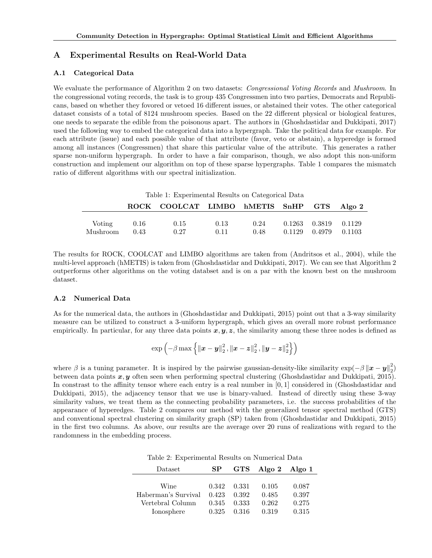# A Experimental Results on Real-World Data

#### A.1 Categorical Data

We evaluate the performance of Algorithm 2 on two datasets: *Congressional Voting Records* and *Mushroom*. In the congressional voting records, the task is to group 435 Congressmen into two parties, Democrats and Republicans, based on whether they fovored or vetoed 16 different issues, or abstained their votes. The other categorical dataset consists of a total of 8124 mushroom species. Based on the 22 different physical or biological features, one needs to separate the edible from the poisonous apart. The authors in (Ghoshdastidar and Dukkipati, 2017) used the following way to embed the categorical data into a hypergraph. Take the political data for example. For each attribute (issue) and each possible value of that attribute (favor, veto or abstain), a hyperedge is formed among all instances (Congressmen) that share this particular value of the attribute. This generates a rather sparse non-uniform hypergraph. In order to have a fair comparison, though, we also adopt this non-uniform construction and implement our algorithm on top of these sparse hypergraphs. Table [1](#page-0-0) compares the mismatch ratio of different algorithms with our spectral initialization.

<span id="page-0-0"></span>Table 1: Experimental Results on Categorical Data

|                    |              | ROCK COOLCAT LIMBO hMETIS SnHP GTS Algo 2 |              |              |                                                    |  |
|--------------------|--------------|-------------------------------------------|--------------|--------------|----------------------------------------------------|--|
| Voting<br>Mushroom | 0.16<br>0.43 | 0.15<br>0.27                              | 0.13<br>0.11 | 0.24<br>0.48 | 0.1263 0.3819 0.1129<br>$0.1129$ $0.4979$ $0.1103$ |  |

The results for ROCK, COOLCAT and LIMBO algorithms are taken from (Andritsos et al., 2004), while the multi-level approach (hMETIS) is taken from (Ghoshdastidar and Dukkipati, 2017). We can see that Algorithm 2 outperforms other algorithms on the voting databset and is on a par with the known best on the mushroom dataset.

## A.2 Numerical Data

As for the numerical data, the authors in (Ghoshdastidar and Dukkipati, 2015) point out that a 3-way similarity measure can be utilized to construct a 3-uniform hypergraph, which gives an overall more robust performance empirically. In particular, for any three data points  $x, y, z$ , the similarity among these three nodes is defined as

$$
\exp\left(-\beta \max\left\{\left\|\boldsymbol{x}-\boldsymbol{y}\right\|_{2}^{2},\left\|\boldsymbol{x}-\boldsymbol{z}\right\|_{2}^{2},\left\|\boldsymbol{y}-\boldsymbol{z}\right\|_{2}^{2}\right\}\right)
$$

where  $\beta$  is a tuning parameter. It is inspired by the pairwise gaussian-density-like similarity  $\exp(-\beta ||\mathbf{x} - \mathbf{y}||_2^2)$ between data points  $x, y$  often seen when performing spectral clustering (Ghoshdastidar and Dukkipati, 2015). In constrast to the affinity tensor where each entry is a real number in [0, 1] considered in (Ghoshdastidar and Dukkipati, 2015), the adjacency tensor that we use is binary-valued. Instead of directly using these 3-way similarity values, we treat them as the connecting probability parameters, i.e. the success probabilities of the appearance of hyperedges. Table 2 compares our method with the generalized tensor spectral method (GTS) and conventional spectral clustering on similarity graph (SP) taken from (Ghoshdastidar and Dukkipati, 2015) in the first two columns. As above, our results are the average over 20 runs of realizations with regard to the randomness in the embedding process.

<span id="page-0-1"></span>

| Dataset             | <b>SP</b> |                     | GTS Algo 2 Algo 1 |       |
|---------------------|-----------|---------------------|-------------------|-------|
|                     |           |                     |                   |       |
| Wine                |           | $0.342 \quad 0.331$ | 0.105             | 0.087 |
| Haberman's Survival | 0.423     | 0.392               | 0.485             | 0.397 |
| Vertebral Column    | 0.345     | 0.333               | 0.262             | 0.275 |
| Ionosphere          | 0.325     | 0.316               | 0.319             | 0.315 |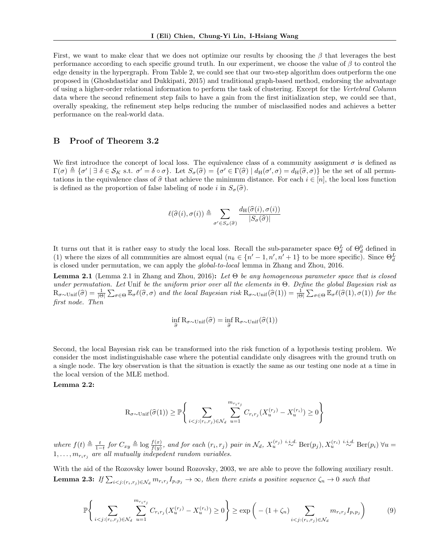First, we want to make clear that we does not optimize our results by choosing the  $\beta$  that leverages the best performance according to each specific ground truth. In our experiment, we choose the value of  $\beta$  to control the edge density in the hypergraph. From Table [2,](#page-0-1) we could see that our two-step algorithm does outperform the one proposed in (Ghoshdastidar and Dukkipati, 2015) and traditional graph-based method, endorsing the advantage of using a higher-order relational information to perform the task of clustering. Except for the Vertebral Column data where the second refinement step fails to have a gain from the first initialization step, we could see that, overally speaking, the refinement step helps reducing the number of misclassified nodes and achieves a better performance on the real-world data.

### B Proof of Theorem 3.2

We first introduce the concept of local loss. The equivalence class of a community assignment  $\sigma$  is defined as  $\Gamma(\sigma) \triangleq {\sigma' \mid \exists \delta \in \mathcal{S}_K \text{ s.t. } \sigma' = \delta \circ \sigma}.$  Let  $S_{\sigma}(\hat{\sigma}) = {\sigma' \in \Gamma(\hat{\sigma}) \mid d_H(\sigma', \sigma) = d_H(\hat{\sigma}, \sigma)}$  be the set of all permutations in the equivalence class of  $\hat{\sigma}$  that achieve the minimum distance. For each  $i \in [n]$ , the local loss function is defined as the proportion of false labeling of node i in  $S_{\sigma}(\hat{\sigma})$ .

$$
\ell(\widehat{\sigma}(i), \sigma(i)) \triangleq \sum_{\sigma' \in S_{\sigma}(\widehat{\sigma})} \frac{d_{\mathrm{H}}(\widehat{\sigma}(i), \sigma(i))}{|S_{\sigma}(\widehat{\sigma})|}
$$

It turns out that it is rather easy to study the local loss. Recall the sub-parameter space  $\Theta_d^L$  of  $\Theta_d^0$  defined in (1) where the sizes of all communities are almost equal  $(n_k \in \{n'-1,n',n'+1\})$  to be more specific). Since  $\Theta_d^L$ is closed under permutation, we can apply the global-to-local lemma in Zhang and Zhou, 2016.

**Lemma 2.1** (Lemma 2.1 in Zhang and Zhou, 2016): Let  $\Theta$  be any homogeneous parameter space that is closed under permutation. Let Unif be the uniform prior over all the elements in  $\Theta$ . Define the global Bayesian risk as  $R_{\sigma \sim \text{Unif}}(\widehat{\sigma}) = \frac{1}{|\Theta|} \sum_{\sigma \in \Theta} \mathbb{E}_{\sigma} \ell(\widehat{\sigma}, \sigma)$  and the local Bayesian risk  $R_{\sigma \sim \text{Unif}}(\widehat{\sigma}(1)) = \frac{1}{|\Theta|} \sum_{\sigma \in \Theta} \mathbb{E}_{\sigma} \ell(\widehat{\sigma}(1), \sigma(1))$  for the first node. Then

$$
\inf_{\widehat{\sigma}} R_{\sigma \sim \text{Unif}}(\widehat{\sigma}) = \inf_{\widehat{\sigma}} R_{\sigma \sim \text{Unif}}(\widehat{\sigma}(1))
$$

Second, the local Bayesian risk can be transformed into the risk function of a hypothesis testing problem. We consider the most indistinguishable case where the potential candidate only disagrees with the ground truth on a single node. The key observation is that the situation is exactly the same as our testing one node at a time in the local version of the MLE method.

#### <span id="page-1-0"></span>Lemma 2.2:

$$
\mathcal{R}_{\sigma \sim \text{Unif}}(\hat{\sigma}(1)) \ge \mathbb{P}\Bigg\{\sum_{i < j: (r_i, r_j) \in \mathcal{N}_d} \sum_{u=1}^{m_{r_i r_j}} C_{r_i r_j} (X_u^{(r_j)} - X_u^{(r_i)}) \ge 0\Bigg\}
$$

where  $f(t) \triangleq \frac{t}{1-t}$  for  $C_{xy} \triangleq \log \frac{f(x)}{f(y)}$ , and for each  $(r_i, r_j)$  pair in  $\mathcal{N}_d$ ,  $X_u^{(r_j)} \stackrel{i.i.d.}{\sim} \text{Ber}(p_j)$ ,  $X_u^{(r_i)} \stackrel{i.i.d.}{\sim} \text{Ber}(p_i)$   $\forall u =$  $1, \ldots, m_{r_ir_i}$  are all mutually indepedent random variables.

<span id="page-1-1"></span>With the aid of the Rozovsky lower bound Rozovsky, 2003, we are able to prove the following auxiliary result. **Lemma 2.3:** If  $\sum_{i < j:(r_i,r_j) \in \mathcal{N}_d} m_{r_i r_j} I_{p_i p_j} \to \infty$ , then there exists a positive sequence  $\zeta_n \to 0$  such that

<span id="page-1-2"></span>
$$
\mathbb{P}\Bigg\{\sum_{i < j: (r_i, r_j) \in \mathcal{N}_d} \sum_{u=1}^{m_{r_i r_j}} C_{r_i r_j} (X_u^{(r_j)} - X_u^{(r_i)}) \ge 0\Bigg\} \ge \exp\bigg(- (1 + \zeta_n) \sum_{i < j: (r_i, r_j) \in \mathcal{N}_d} m_{r_i r_j} I_{p_i p_j}\bigg) \tag{9}
$$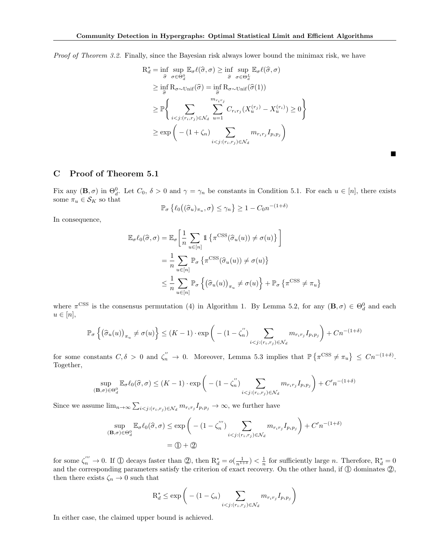Proof of Theorem 3.2. Finally, since the Bayesian risk always lower bound the minimax risk, we have

$$
R_d^* = \inf \sup_{\hat{\sigma}} \sup_{\sigma \in \Theta_d^0} \mathbb{E}_{\sigma} \ell(\hat{\sigma}, \sigma) \geq \inf \sup_{\hat{\sigma}} \sup_{\sigma \in \Theta_d^L} \mathbb{E}_{\sigma} \ell(\hat{\sigma}, \sigma)
$$
  
\n
$$
\geq \inf_{\hat{\sigma}} R_{\sigma \sim \text{Unif}}(\hat{\sigma}) = \inf_{\hat{\sigma}} R_{\sigma \sim \text{Unif}}(\hat{\sigma}(1))
$$
  
\n
$$
\geq \mathbb{P} \Biggl\{ \sum_{i < j: (r_i, r_j) \in \mathcal{N}_d} \sum_{u=1}^{m_{r_i r_j}} C_{r_i r_j} (X_u^{(r_j)} - X_u^{(r_i)}) \geq 0 \Biggr\}
$$
  
\n
$$
\geq \exp \bigg( -(1 + \zeta_n) \sum_{i < j: (r_i, r_j) \in \mathcal{N}_d} m_{r_i r_j} I_{p_i p_j} \bigg)
$$

 $\blacksquare$ 

## C Proof of Theorem 5.1

Fix any  $(\mathbf{B}, \sigma)$  in  $\Theta_d^0$ . Let  $C_0$ ,  $\delta > 0$  and  $\gamma = \gamma_n$  be constants in Condition 5.1. For each  $u \in [n]$ , there exists some  $\pi_u \in \mathcal{S}_K$  so that  $\delta)$ 

$$
\mathbb{P}_{\sigma}\left\{\ell_0\big((\widehat{\sigma}_u)_{\pi_u}, \sigma\big) \leq \gamma_n\right\} \geq 1 - C_0 n^{-(1+\delta)}
$$

In consequence,

$$
\mathbb{E}_{\sigma}\ell_{0}(\widehat{\sigma},\sigma) = \mathbb{E}_{\sigma}\left[\frac{1}{n}\sum_{u\in[n]} \mathbb{1}\left\{\pi^{\text{CSS}}(\widehat{\sigma}_{u}(u)) \neq \sigma(u)\right\}\right]
$$

$$
= \frac{1}{n}\sum_{u\in[n]} \mathbb{P}_{\sigma}\left\{\pi^{\text{CSS}}(\widehat{\sigma}_{u}(u)) \neq \sigma(u)\right\}
$$

$$
\leq \frac{1}{n}\sum_{u\in[n]} \mathbb{P}_{\sigma}\left\{\left(\widehat{\sigma}_{u}(u)\right)_{\pi_{u}} \neq \sigma(u)\right\} + \mathbb{P}_{\sigma}\left\{\pi^{\text{CSS}} \neq \pi_{u}\right\}
$$

where  $\pi$ <sup>CSS</sup> is the consensus permutation (4) in Algorithm 1. By Lemma 5.2, for any  $(\mathbf{B}, \sigma) \in \Theta_d^0$  and each  $u \in [n],$ 

$$
\mathbb{P}_{\sigma}\left\{(\widehat{\sigma}_{u}(u))_{\pi_{u}} \neq \sigma(u)\right\} \leq (K-1) \cdot \exp\left(-\left(1-\zeta_{n}^{''}\right) \sum_{i < j:(r_{i},r_{j}) \in \mathcal{N}_{d}} m_{r_{i}r_{j}} I_{p_{i}p_{j}}\right) + Cn^{-(1+\delta)}
$$

for some constants  $C, \delta > 0$  and  $\zeta_n'' \to 0$ . Moreover, Lemma 5.3 implies that  $\mathbb{P}\left\{\pi^{\text{CSS}} \neq \pi_u\right\} \leq Cn^{-(1+\delta)}$ . Together,

$$
\sup_{(\mathbf{B},\sigma)\in\Theta_d^0} \mathbb{E}_{\sigma}\ell_0(\widehat{\sigma},\sigma) \le (K-1) \cdot \exp\bigg(- (1-\zeta_n'') \sum_{i
$$

Since we assume  $\lim_{n\to\infty}\sum_{i\leq j:(r_i,r_j)\in\mathcal{N}_d}m_{r_i r_j}I_{p_i p_j}\to\infty$ , we further have

$$
\sup_{(\mathbf{B},\sigma)\in\Theta_d^0} \mathbb{E}_{\sigma} \ell_0(\widehat{\sigma}, \sigma) \le \exp\left(-\left(1 - \zeta_n^{'''}\right) \sum_{i < j: (r_i, r_j) \in \mathcal{N}_d} m_{r_i r_j} I_{p_i p_j}\right) + C'n^{-(1+\delta)}
$$
\n
$$
= \textcircled{1} + \textcircled{2}
$$

for some  $\zeta_n^{\prime\prime\prime} \to 0$ . If  $\overline{1}$  decays faster than  $\overline{2}$ , then  $R_d^* = o(\frac{1}{n^{1+\delta}}) < \frac{1}{n}$  for sufficiently large *n*. Therefore,  $R_d^* = 0$ and the corresponding parameters satisfy the criterion of exact recovery. On the other hand, if  $\mathbb D$  dominates  $\mathbb Q$ , then there exists  $\zeta_n \to 0$  such that

$$
\mathcal{R}_d^* \le \exp\bigg(- (1 - \zeta_n) \sum_{i < j: (r_i, r_j) \in \mathcal{N}_d} m_{r_i r_j} I_{p_i p_j}\bigg)
$$

In either case, the claimed upper bound is achieved.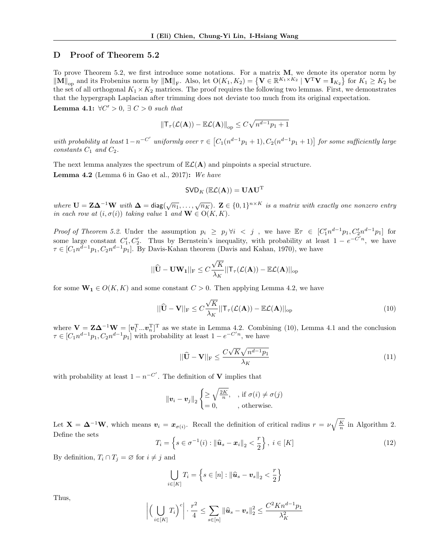# D Proof of Theorem 5.2

To prove Theorem 5.2, we first introduce some notations. For a matrix  $M$ , we denote its operator norm by  $\|\mathbf{M}\|_{\text{op}}$  and its Frobenius norm by  $\|\mathbf{M}\|_{\text{F}}$ . Also, let  $\mathrm{O}(K_1, K_2) = \{ \mathbf{V} \in \mathbb{R}^{K_1 \times K_2} \mid \mathbf{V}^{\text{T}} \mathbf{V} = \mathbf{I}_{K_2} \}$  for  $K_1 \geq K_2$  be the set of all orthogonal  $K_1 \times K_2$  matrices. The proof requires the following two lemmas. First, we demonstrates that the hypergraph Laplacian after trimming does not deviate too much from its original expectation.

<span id="page-3-2"></span>Lemma 4.1:  $\forall C' > 0, \exists C > 0$  such that

$$
\|\mathsf{T}_{\tau}(\mathcal{L}(\mathbf{A})) - \mathbb{E}\mathcal{L}(\mathbf{A})\|_{\text{op}} \leq C\sqrt{n^{d-1}p_1+1}
$$

with probability at least  $1-n^{-C'}$  uniformly over  $\tau \in [C_1(n^{d-1}p_1+1), C_2(n^{d-1}p_1+1)]$  for some sufficiently large  $constants C_1$  and  $C_2$ .

The next lemma analyzes the spectrum of  $\mathbb{E}\mathcal{L}(\mathbf{A})$  and pinpoints a special structure.

<span id="page-3-0"></span>**Lemma 4.2** (Lemma 6 in Gao et al., 2017): We have

$$
\textsf{SVD}_K\left(\mathbb{E}\mathcal{L}(\mathbf{A})\right)=\mathbf{U}\mathbf{\Lambda}\mathbf{U}^{\text{T}}
$$

where  $U = Z\Delta^{-1}W$  with  $\Delta = \text{diag}(\sqrt{n_1}, \ldots, \sqrt{n_K})$ .  $Z \in \{0, 1\}^{n \times K}$  is a matrix with exactly one nonzero entry in each row at  $(i, \sigma(i))$  taking value 1 and  $\mathbf{W} \in O(K, K)$ .

Proof of Theorem 5.2. Under the assumption  $p_i \geq p_j \forall i \leq j$ , we have  $\mathbb{E} \tau \in [C_1' n^{d-1} p_1, C_2' n^{d-1} p_1]$  for some large constant  $C'_1, C'_2$ . Thus by Bernstein's inequality, with probability at least  $1 - e^{-C'n}$ , we have  $\tau \in [C_1 n^{d-1} p_1, C_2 n^{d-1} p_1]$ . By Davis-Kahan theorem (Davis and Kahan, 1970), we have

$$
||\widehat{\mathbf{U}} - \mathbf{U}\mathbf{W_1}||_{\text{F}} \leq C \frac{\sqrt{K}}{\lambda_K} ||{\mathsf{T}}_{\tau}(\mathcal{L}(\mathbf{A})) - \mathbb{E}\mathcal{L}(\mathbf{A})||_{\text{op}}
$$

for some  $\mathbf{W}_1 \in O(K, K)$  and some constant  $C > 0$ . Then applying Lemma [4.2,](#page-3-0) we have

<span id="page-3-1"></span>
$$
||\widehat{\mathbf{U}} - \mathbf{V}||_{\mathrm{F}} \le C \frac{\sqrt{K}}{\lambda_K} ||\mathsf{T}_{\tau}(\mathcal{L}(\mathbf{A})) - \mathbb{E}\mathcal{L}(\mathbf{A})||_{\mathrm{op}} \tag{10}
$$

where  $V = Z\Delta^{-1}W = [\mathbf{v}_1^T...\mathbf{v}_n^T]^T$  as we state in Lemma [4.2.](#page-3-0) Combining [\(10\)](#page-3-1), Lemma [4.1](#page-3-2) and the conclusion  $\tau \in [C_1 n^{d-1} p_1, C_2 n^{d-1} p_1]$  with probability at least  $1 - e^{-C'n}$ , we have

<span id="page-3-3"></span>
$$
||\widehat{\mathbf{U}} - \mathbf{V}||_{\mathrm{F}} \le \frac{C\sqrt{K}\sqrt{n^{d-1}p_1}}{\lambda_K} \tag{11}
$$

with probability at least  $1 - n^{-C'}$ . The definition of **V** implies that

$$
\|\mathbf{v}_i - \mathbf{v}_j\|_2 \begin{cases} \geq \sqrt{\frac{2K}{n}}, & , \text{ if } \sigma(i) \neq \sigma(j) \\ = 0, & , \text{ otherwise.} \end{cases}
$$

Let  $\mathbf{X} = \mathbf{\Delta}^{-1}\mathbf{W}$ , which means  $\mathbf{v}_i = \mathbf{x}_{\sigma(i)}$ . Recall the definition of critical radius  $r = \nu \sqrt{\frac{K}{n}}$  in Algorithm 2. Define the sets

<span id="page-3-4"></span>
$$
T_i = \left\{ s \in \sigma^{-1}(i) : \|\widehat{\boldsymbol{u}}_s - \boldsymbol{x}_i\|_2 < \frac{r}{2} \right\}, \ i \in [K] \tag{12}
$$

By definition,  $T_i \cap T_j = \emptyset$  for  $i \neq j$  and

$$
\bigcup_{i \in [K]} T_i = \left\{ s \in [n] : \left\| \widehat{\boldsymbol{u}}_s - \boldsymbol{v}_s \right\|_2 < \frac{r}{2} \right\}
$$

Thus,

$$
\left| \left( \bigcup_{i \in [K]} T_i \right)^c \right| \cdot \frac{r^2}{4} \le \sum_{s \in [n]} \left\| \widehat{\boldsymbol{u}}_s - \boldsymbol{v}_s \right\|_2^2 \le \frac{C^2 K n^{d-1} p_1}{\lambda_K^2}
$$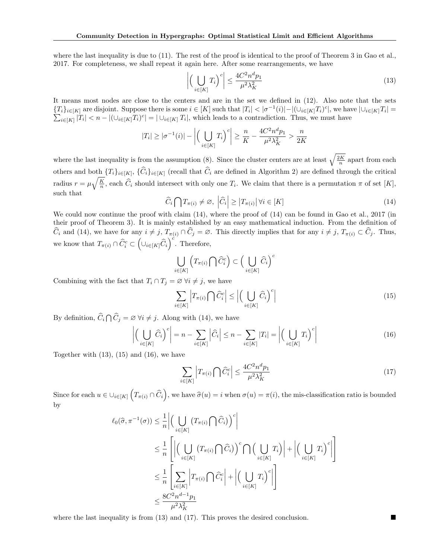where the last inequality is due to [\(11\)](#page-3-3). The rest of the proof is identical to the proof of Theorem 3 in Gao et al., 2017. For completeness, we shall repeat it again here. After some rearrangements, we have

<span id="page-4-1"></span>
$$
\left| \left( \bigcup_{i \in [K]} T_i \right)^c \right| \le \frac{4C^2 n^d p_1}{\mu^2 \lambda_K^2} \tag{13}
$$

It means most nodes are close to the centers and are in the set we defined in [\(12\)](#page-3-4). Also note that the sets  ${T_i}_{i\in[K]}$  are disjoint. Suppose there is some  $i\in[K]$  such that  $|T_i|<|\sigma^{-1}(i)|-|(\cup_{i\in[K]}T_i)^c|$ , we have  $|\cup_{i\in[K]}T_i|=$  $\sum_{i\in[K]}|T_i| < n-|(\cup_{i\in[K]}T_i)^c|=|\cup_{i\in[K]}T_i|$ , which leads to a contradiction. Thus, we must have

$$
|T_i| \ge |\sigma^{-1}(i)| - \left| \left( \bigcup_{i \in [K]} T_i \right)^c \right| \ge \frac{n}{K} - \frac{4C^2 n^d p_1}{\mu^2 \lambda_K^2} > \frac{n}{2K}
$$

where the last inequality is from the assumption (8). Since the cluster centers are at least  $\sqrt{\frac{2K}{n}}$  apart from each others and both  $\{T_i\}_{i\in[K]}$ ,  $\{C_i\}_{i\in[K]}$  (recall that  $C_i$  are defined in Algorithm 2) are defined through the critical radius  $r = \mu \sqrt{\frac{K}{n}}$ , each  $\hat{C}_i$  should intersect with only one  $T_i$ . We claim that there is a permutation  $\pi$  of set [K], such that

<span id="page-4-0"></span>
$$
\widehat{C}_i \bigcap T_{\pi(i)} \neq \varnothing, \left| \widehat{C}_i \right| \geq \left| T_{\pi(i)} \right| \forall i \in [K]
$$
\n(14)

We could now continue the proof with claim  $(14)$ , where the proof of  $(14)$  can be found in Gao et al., 2017 (in their proof of Theorem 3). It is mainly established by an easy mathematical induction. From the definition of  $\widehat{C}_i$  and [\(14\)](#page-4-0), we have for any  $i \neq j$ ,  $T_{\pi(i)} \cap \widehat{C}_j = \emptyset$ . This directly implies that for any  $i \neq j$ ,  $T_{\pi(i)} \subset \widehat{C}_j$ . Thus, we know that  $T_{\pi(i)} \cap \widehat{C}_{i}^{c} \subset (\cup_{i \in [K]} \widehat{C}_{i})^{c}$ . Therefore,

$$
\bigcup_{i \in [K]} \left( T_{\pi(i)} \bigcap \widehat{C}_i^c \right) \subset \Big( \bigcup_{i \in [K]} \widehat{C}_i \Big)^c
$$

Combining with the fact that  $T_i \cap T_j = \emptyset \ \forall i \neq j$ , we have

<span id="page-4-2"></span>
$$
\sum_{i \in [K]} \left| T_{\pi(i)} \bigcap \hat{C}_i^c \right| \le \left| \left( \bigcup_{i \in [K]} \hat{C}_i \right)^c \right| \tag{15}
$$

By definition,  $\widehat{C}_i \cap \widehat{C}_j = \varnothing \ \forall i \neq j$ . Along with [\(14\)](#page-4-0), we have

<span id="page-4-3"></span>
$$
\left| \left( \bigcup_{i \in [K]} \widehat{C}_i \right)^c \right| = n - \sum_{i \in [K]} \left| \widehat{C}_i \right| \le n - \sum_{i \in [K]} |T_i| = \left| \left( \bigcup_{i \in [K]} T_i \right)^c \right| \tag{16}
$$

Together with [\(13\)](#page-4-1), [\(15\)](#page-4-2) and [\(16\)](#page-4-3), we have

<span id="page-4-4"></span>
$$
\sum_{i \in [K]} \left| T_{\pi(i)} \bigcap \hat{C}_i^c \right| \le \frac{4C^2 n^d p_1}{\mu^2 \lambda_K^2} \tag{17}
$$

Since for each  $u \in \bigcup_{i \in [K]} \left( T_{\pi(i)} \cap \widehat{C}_i \right)$ , we have  $\widehat{\sigma}(u) = i$  when  $\sigma(u) = \pi(i)$ , the mis-classification ratio is bounded by

$$
\ell_0(\widehat{\sigma}, \pi^{-1}(\sigma)) \leq \frac{1}{n} \Big| \Big( \bigcup_{i \in [K]} \left( T_{\pi(i)} \bigcap \widehat{C}_i \right)^c \Big|
$$
  
\n
$$
\leq \frac{1}{n} \left[ \Big| \Big( \bigcup_{i \in [K]} \left( T_{\pi(i)} \bigcap \widehat{C}_i \right)^c \bigcap \Big( \bigcup_{i \in [K]} T_i \Big) \Big| + \Big| \Big( \bigcup_{i \in [K]} T_i \Big)^c \Big| \right]
$$
  
\n
$$
\leq \frac{1}{n} \left[ \sum_{i \in [K]} \Big| T_{\pi(i)} \bigcap \widehat{C}_i^c \Big| + \Big| \Big( \bigcup_{i \in [K]} T_i \Big)^c \Big| \right]
$$
  
\n
$$
\leq \frac{8C^2 n^{d-1} p_1}{\mu^2 \lambda_K^2}
$$

where the last inequality is from  $(13)$  and  $(17)$ . This proves the desired conclusion.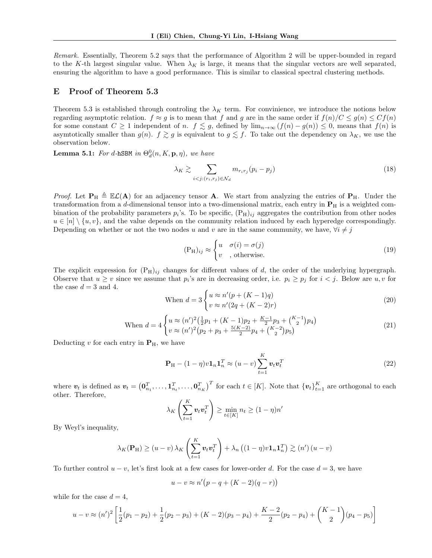Remark. Essentially, Theorem 5.2 says that the performance of Algorithm 2 will be upper-bounded in regard to the K-th largest singular value. When  $\lambda_K$  is large, it means that the singular vectors are well separated, ensuring the algorithm to have a good performance. This is similar to classical spectral clustering methods.

#### E Proof of Theorem 5.3

Theorem 5.3 is established through controling the  $\lambda_K$  term. For convinience, we introduce the notions below regarding asymptotic relation.  $f \approx g$  is to mean that f and g are in the same order if  $f(n)/C \leq g(n) \leq Cf(n)$ for some constant  $C \ge 1$  independent of n.  $f \lesssim g$ , defined by  $\lim_{n\to\infty} (f(n) - g(n)) \le 0$ , means that  $f(n)$  is asymtotically smaller than  $g(n)$ .  $f \gtrsim g$  is equivalent to  $g \lesssim f$ . To take out the dependency on  $\lambda_K$ , we use the observation below.

**Lemma 5.1:** For d-hSBM in  $\Theta_d^0(n, K, \mathbf{p}, \eta)$ , we have

$$
\lambda_K \gtrsim \sum_{i < j: (r_i, r_j) \in \mathcal{N}_d} m_{r_i r_j} (p_i - p_j) \tag{18}
$$

*Proof.* Let  $P_H \triangleq \mathbb{E}\mathcal{L}(A)$  for an adjacency tensor A. We start from analyzing the entries of  $P_H$ . Under the transformation from a d-dimensional tensor into a two-dimensional matrix, each entry in  $P_H$  is a weighted combination of the probability parameters  $p_i$ 's. To be specific,  $(P_H)_{ij}$  aggregates the contribution from other nodes  $u \in [n] \setminus \{u, v\}$ , and the value depends on the community relation induced by each hyperedge correspondingly. Depending on whether or not the two nodes u and v are in the same community, we have,  $\forall i \neq j$ 

$$
(\mathbf{P}_{\mathbf{H}})_{ij} \approx \begin{cases} u & \sigma(i) = \sigma(j) \\ v & , \text{otherwise.} \end{cases}
$$
 (19)

The explicit expression for  $(P_H)_{ij}$  changes for different values of d, the order of the underlying hypergraph. Observe that  $u \geq v$  since we assume that  $p_i$ 's are in decreasing order, i.e.  $p_i \geq p_j$  for  $i < j$ . Below are  $u, v$  for the case  $d = 3$  and 4.

When 
$$
d = 3 \begin{cases} u \approx n'(p + (K - 1)q) \\ v \approx n'(2q + (K - 2)r) \end{cases}
$$
 (20)

When 
$$
d = 4\begin{cases} u \approx (n')^2 \left(\frac{1}{2}p_1 + (K-1)p_2 + \frac{K-1}{2}p_3 + {K-1 \choose 2}p_4\right) \\ v \approx (n')^2 \left(p_2 + p_3 + \frac{5(K-2)}{2}p_4 + {K-2 \choose 2}p_5\right) \end{cases}
$$
 (21)

Deducting v for each entry in  $P_{H}$ , we have

$$
\mathbf{P}_{\mathrm{H}} - (1 - \eta)v \mathbf{1}_{n} \mathbf{1}_{n}^{T} \approx (u - v) \sum_{t=1}^{K} v_{t} v_{t}^{T}
$$
\n(22)

where  $\boldsymbol{v}_t$  is defined as  $\boldsymbol{v}_t = (\boldsymbol{0}_{n_1}^T, \dots, \boldsymbol{1}_{n_t}^T, \dots, \boldsymbol{0}_{n_K}^T)^T$  for each  $t \in [K]$ . Note that  $\{\boldsymbol{v}_t\}_{t=1}^K$  are orthogonal to each other. Therefore,

$$
\lambda_K \left( \sum_{t=1}^K \boldsymbol{v}_t \boldsymbol{v}_t^T \right) \ge \min_{t \in [K]} n_t \ge (1 - \eta)n'
$$

By Weyl's inequality,

$$
\lambda_K(\mathbf{P}_{\mathrm{H}}) \ge (u-v)\lambda_K\left(\sum_{t=1}^K \boldsymbol{v}_t \boldsymbol{v}_t^T\right) + \lambda_n\left((1-\eta)v\mathbf{1}_n\mathbf{1}_n^T\right) \gtrsim (n')\left(u-v\right)
$$

To further control  $u - v$ , let's first look at a few cases for lower-order d. For the case  $d = 3$ , we have

$$
u - v \approx n'\big(p - q + (K - 2)(q - r)\big)
$$

while for the case  $d = 4$ ,

$$
u - v \approx (n')^{2} \left[ \frac{1}{2}(p_{1} - p_{2}) + \frac{1}{2}(p_{2} - p_{3}) + (K - 2)(p_{3} - p_{4}) + \frac{K - 2}{2}(p_{2} - p_{4}) + \binom{K - 1}{2}(p_{4} - p_{5}) \right]
$$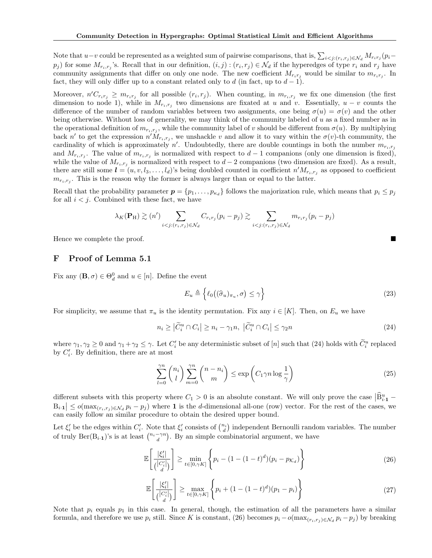Note that  $u-v$  could be represented as a weighted sum of pairwise comparisons, that is,  $\sum_{i\leq j:(r_i,r_j)\in\mathcal{N}_d}M_{r_i r_j}(p_i-p_j)$  $p_j$ ) for some  $M_{r_i,r_j}$ 's. Recall that in our definition,  $(i,j)$ :  $(r_i,r_j) \in \mathcal{N}_d$  if the hyperedges of type  $r_i$  and  $r_j$  have community assignments that differ on only one node. The new coefficient  $M_{r_i r_j}$  would be similar to  $m_{r_i r_j}$ . In fact, they will only differ up to a constant related only to d (in fact, up to  $d-1$ ).

Moreover,  $n'C_{r_ir_j} \geq m_{r_ir_j}$  for all possible  $(r_i, r_j)$ . When counting, in  $m_{r_i,r_j}$  we fix one dimension (the first dimension to node 1), while in  $M_{r_i,r_j}$  two dimensions are fixated at u and v. Essentially,  $u - v$  counts the difference of the number of random variables between two assignments, one being  $\sigma(u) = \sigma(v)$  and the other being otherwise. Without loss of generality, we may think of the community labeled of u as a fixed number as in the operational definition of  $m_{r_i,r_j}$ , while the community label of v should be different from  $\sigma(u)$ . By multiplying back n' to get the expression  $n' M_{r_i,r_j}$ , we unshackle v and allow it to vary within the  $\sigma(v)$ -th community, the cardinality of which is approximately  $n'$ . Undoubtedly, there are double countings in both the number  $m_{r_i,r_j}$ and  $M_{r_i,r_j}$ . The value of  $m_{r_i,r_j}$  is normalized with respect to  $d-1$  companions (only one dimension is fixed), while the value of  $M_{r_i,r_j}$  is normalized with respect to  $d-2$  companions (two dimension are fixed). As a result, there are still some  $\bm{l} = (u, v, l_3, \ldots, l_d)$ 's being doubled counted in coefficient  $n'M_{r_i,r_j}$  as opposed to coefficient  $m_{r_i,r_j}$ . This is the reason why the former is always larger than or equal to the latter.

Recall that the probability parameter  $p = \{p_1, \ldots, p_{\kappa_d}\}\$  follows the majorization rule, which means that  $p_i \leq p_j$ for all  $i < j$ . Combined with these fact, we have

$$
\lambda_K(\mathbf{P}_{\mathrm{H}}) \gtrsim (n') \sum_{i < j: (r_i, r_j) \in \mathcal{N}_d} C_{r_i r_j} (p_i - p_j) \gtrsim \sum_{i < j: (r_i, r_j) \in \mathcal{N}_d} m_{r_i r_j} (p_i - p_j)
$$

Hence we complete the proof.

#### F Proof of Lemma 5.1

Fix any  $(\mathbf{B}, \sigma) \in \Theta_d^0$  and  $u \in [n]$ . Define the event

<span id="page-6-4"></span>
$$
E_u \triangleq \left\{ \ell_0 \big( (\widehat{\sigma}_u)_{\pi_u}, \sigma \big) \le \gamma \right\} \tag{23}
$$

For simplicity, we assume that  $\pi_u$  is the identity permutation. Fix any  $i \in [K]$ . Then, on  $E_u$  we have

<span id="page-6-0"></span>
$$
n_i \ge |\tilde{C}_i^u \cap C_i| \ge n_i - \gamma_1 n, \ |\tilde{C}_i^u \cap C_i| \le \gamma_2 n \tag{24}
$$

where  $\gamma_1, \gamma_2 \ge 0$  and  $\gamma_1 + \gamma_2 \le \gamma$ . Let  $C_i'$  be any deterministic subset of [n] such that [\(24\)](#page-6-0) holds with  $\tilde{C}_i^u$  replaced by  $C_i'$ . By definition, there are at most

<span id="page-6-3"></span>
$$
\sum_{l=0}^{\gamma n} \binom{n_i}{l} \sum_{m=0}^{\gamma n} \binom{n-n_i}{m} \le \exp\left(C_1 \gamma n \log \frac{1}{\gamma}\right) \tag{25}
$$

different subsets with this property where  $C_1 > 0$  is an absolute constant. We will only prove the case  $|\widehat{\mathbf{B}}_{i\cdot \mathbf{1}}^u B_{i\cdot1} \leq o(\max_{(r_i,r_j)\in\mathcal{N}_d} p_i - p_j)$  where 1 is the d-dimensional all-one (row) vector. For the rest of the cases, we can easily follow an similar procedure to obtain the desired upper bound.

Let  $\xi'_i$  be the edges within  $C'_i$ . Note that  $\xi'_i$  consists of  $\binom{n_i}{d}$  independent Bernoulli random variables. The number of truly  $\text{Ber}(B_{i\cdot 1})$ 's is at least  $\binom{n_i-\gamma n}{d}$ . By an simple combinatorial argument, we have

<span id="page-6-1"></span>
$$
\mathbb{E}\left[\frac{|\xi_i'|}{\binom{|C_i'|}{d}}\right] \ge \min_{t \in [0,\gamma K]} \left\{ p_i - (1 - (1-t)^d)(p_i - p_{\mathcal{K}_d}) \right\} \tag{26}
$$

<span id="page-6-2"></span>
$$
\mathbb{E}\left[\frac{|\xi_i'|}{\binom{|C_i'|}{d}}\right] \ge \max_{t \in [0,\gamma K]} \left\{ p_i + (1 - (1-t)^d)(p_1 - p_i) \right\} \tag{27}
$$

Note that  $p_i$  equals  $p_1$  in this case. In general, though, the estimation of all the parameters have a similar formula, and therefore we use  $p_i$  still. Since K is constant, [\(26\)](#page-6-1) becomes  $p_i - o(\max_{(r_i, r_j) \in \mathcal{N}_d} p_i - p_j)$  by breaking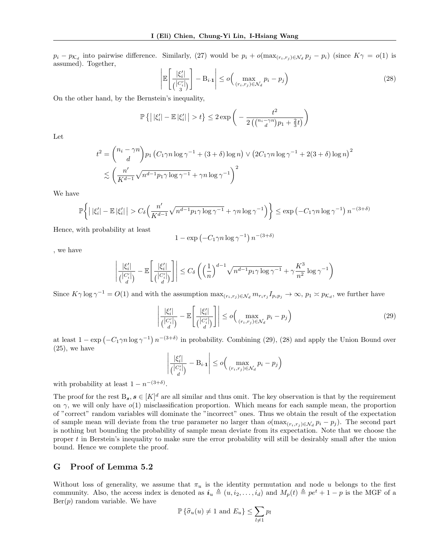$p_i - p_{\mathcal{K}_d}$  into pairwise difference. Similarly, [\(27\)](#page-6-2) would be  $p_i + o(\max_{(r_i,r_j) \in \mathcal{N}_d} p_j - p_i)$  (since  $K\gamma = o(1)$  is assumed). Together,

<span id="page-7-1"></span>
$$
\left| \mathbb{E} \left[ \frac{|\xi_i'|}{\binom{|C_i'|}{3}} \right] - \mathcal{B}_{i \cdot 1} \right| \le o \left( \max_{(r_i, r_j) \in \mathcal{N}_d} p_i - p_j \right) \tag{28}
$$

On the other hand, by the Bernstein's inequality,

$$
\mathbb{P}\left\{ \left| |\xi'_i| - \mathbb{E} |\xi'_i| \right| > t \right\} \leq 2 \exp\left( -\frac{t^2}{2\left( \binom{n_i - \gamma n}{d} p_1 + \frac{2}{3} t \right)} \right)
$$

Let

$$
t^{2} = {n_{i} - \gamma n \choose d} p_{1} (C_{1}\gamma n \log \gamma^{-1} + (3 + \delta) \log n) \vee (2C_{1}\gamma n \log \gamma^{-1} + 2(3 + \delta) \log n)^{2}
$$
  

$$
\lesssim \left(\frac{n'}{K^{d-1}}\sqrt{n^{d-1}p_{1}\gamma \log \gamma^{-1}} + \gamma n \log \gamma^{-1}\right)^{2}
$$

We have

$$
\mathbb{P}\bigg\{\big|\,|\xi'_i| - \mathbb{E}\,|\xi'_i|\,\big| > C_{\delta}\Big(\frac{n'}{K^{d-1}}\sqrt{n^{d-1}p_1\gamma\log\gamma^{-1}} + \gamma n\log\gamma^{-1}\Big)\bigg\} \le \exp\left(-C_1\gamma n\log\gamma^{-1}\right)n^{-(3+\delta)}
$$

Hence, with probability at least

$$
1 - \exp(-C_1 \gamma n \log \gamma^{-1}) n^{-(3+\delta)}
$$

, we have

$$
\left|\frac{|\xi_i'|}{\binom{|C_i'|}{d}} - \mathbb{E}\!\left[\frac{|\xi_i'|}{\binom{|C_i'|}{d}}\right]\right| \leq C_{\delta}\left(\left(\frac{1}{n}\right)^{d-1}\sqrt{n^{d-1}p_1\gamma\log\gamma^{-1}} + \gamma\frac{K^3}{n^2}\log\gamma^{-1}\right)
$$

Since  $K\gamma \log \gamma^{-1} = O(1)$  and with the assumption  $\max_{(r_i,r_j)\in \mathcal{N}_d} m_{r_i r_j} I_{p_i p_j} \to \infty$ ,  $p_1 \times p_{\mathcal{K}_d}$ , we further have

<span id="page-7-0"></span>
$$
\left| \frac{|\xi_i'|}{\binom{|C_i'|}{d}} - \mathbb{E} \left[ \frac{|\xi_i'|}{\binom{|C_i'|}{d}} \right] \right| \le o \Big( \max_{(r_i, r_j) \in \mathcal{N}_d} p_i - p_j \Big) \tag{29}
$$

at least  $1 - \exp(-C_1 \gamma n \log \gamma^{-1}) n^{-(3+\delta)}$  in probability. Combining [\(29\)](#page-7-0), [\(28\)](#page-7-1) and apply the Union Bound over  $(25)$ , we have

$$
\left| \frac{|\xi_i'|}{\binom{|C_i'|}{d}} - B_{i \cdot 1} \right| \le o\Big(\max_{(r_i, r_j) \in \mathcal{N}_d} p_i - p_j\Big)
$$

with probability at least  $1 - n^{-(3+\delta)}$ .

The proof for the rest  $B_s$ ,  $s \in [K]^d$  are all similar and thus omit. The key observation is that by the requirement on  $\gamma$ , we will only have  $o(1)$  misclassification proportion. Which means for each sample mean, the proportion of "correct" random variables will dominate the "incorrect" ones. Thus we obtain the result of the expectation of sample mean will deviate from the true parameter no larger than  $o(\max_{(r_i,r_j)\in\mathcal{N}_d}p_i-p_j)$ . The second part is nothing but bounding the probability of sample mean deviate from its expectation. Note that we choose the proper t in Berstein's inequality to make sure the error probability will still be desirably small after the union bound. Hence we complete the proof.

#### G Proof of Lemma 5.2

Without loss of generality, we assume that  $\pi_u$  is the identity permutation and node u belongs to the first community. Also, the access index is denoted as  $i_u \triangleq (u, i_2, \ldots, i_d)$  and  $M_p(t) \triangleq pe^t + 1 - p$  is the MGF of a  $Ber(p)$  random variable. We have

$$
\mathbb{P}\left\{\widehat{\sigma}_u(u) \neq 1 \text{ and } E_u\right\} \le \sum_{l \neq 1} p_l
$$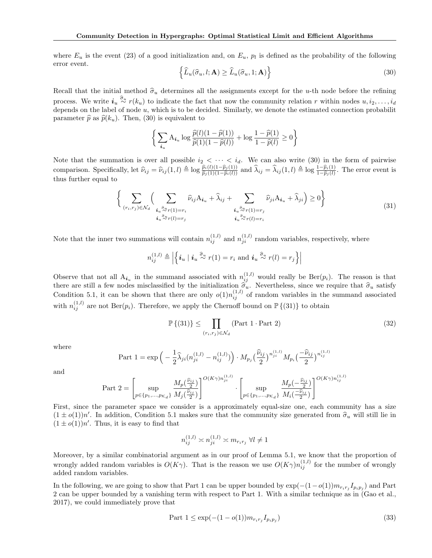where  $E_u$  is the event [\(23\)](#page-6-4) of a good initialization and, on  $E_u$ ,  $p_l$  is defined as the probability of the following error event.

<span id="page-8-0"></span>
$$
\left\{\widehat{L}_u(\widehat{\sigma}_u, l; \mathbf{A}) \ge \widehat{L}_u(\widehat{\sigma}_u, 1; \mathbf{A})\right\}
$$
\n(30)

Recall that the initial method  $\hat{\sigma}_u$  determines all the assignments except for the u-th node before the refining process. We write  $i_u \stackrel{\widehat{\sigma}_u}{\sim} r(k_u)$  to indicate the fact that now the community relation r within nodes  $u, i_2, \ldots, i_d$ depends on the label of node  $u$ , which is to be decided. Similarly, we denote the estimated connection probability parameter  $\hat{p}$  as  $\hat{p}(k_u)$ . Then, [\(30\)](#page-8-0) is equivalent to

$$
\left\{\sum_{i_u} A_{i_u} \log \frac{\widehat{p}(l)(1-\widehat{p}(1))}{\widehat{p}(1)(1-\widehat{p}(l))} + \log \frac{1-\widehat{p}(1)}{1-\widehat{p}(l)} \ge 0 \right\}
$$

Note that the summation is over all possible  $i_2 < \cdots < i_d$ . We can also write [\(30\)](#page-8-0) in the form of pairwise comparison. Specifically, let  $\hat{\nu}_{ij} = \hat{\nu}_{ij}(1,l) \triangleq \log \frac{\hat{p}_i(l)(1-\hat{p}_j(1))}{\hat{p}_j(1)(1-\hat{p}_i(l))}$  and  $\hat{\lambda}_{ij} = \hat{\lambda}_{ij}(1,l) \triangleq \log \frac{1-\hat{p}_i(1)}{1-\hat{p}_j(l)}$ . The error event is thus further equal to

<span id="page-8-1"></span>
$$
\left\{\sum_{(r_i,r_j)\in\mathcal{N}_d}\left(\sum_{\substack{i_u\stackrel{\widehat{\sigma}_u}{\widetilde{\sigma}_u}\cap(1)=r_i\\ \vdots\\i_u\stackrel{\widehat{\sigma}_v}{\widetilde{\sigma}_v}\cap(l)=r_j}}\widehat{\nu}_{ij}A_{i_u}+\widehat{\lambda}_{ij}+\sum_{\substack{i_u\stackrel{\widehat{\sigma}_u}{\widetilde{\sigma}_u}\cap(1)=r_j\\ \vdots\\i_u\stackrel{\widehat{\sigma}_v}{\widetilde{\sigma}_v}\cap(l)=r_i}}\widehat{\nu}_{ji}A_{i_u}+\widehat{\lambda}_{ji}\right)\geq 0\right\}
$$
(31)

Note that the inner two summations will contain  $n_{ij}^{(1,l)}$  and  $n_{ji}^{(1,l)}$  random variables, respectively, where

$$
n_{ij}^{(1,l)} \triangleq \left| \left\{ \boldsymbol{i}_u \mid \boldsymbol{i}_u \stackrel{\widehat{\sigma}_u}{\sim} r(1) = r_i \text{ and } \boldsymbol{i}_u \stackrel{\widehat{\sigma}_u}{\sim} r(l) = r_j \right\} \right|
$$

Observe that not all  $A_{i_u}$  in the summand associated with  $n_{ij}^{(1,l)}$  would really be Ber( $p_i$ ). The reason is that there are still a few nodes misclassified by the initialization  $\hat{\sigma}_u$ . Nevertheless, since we require that  $\hat{\sigma}_u$  satisfy<br>Condition 5.1, it can be shown that there are only  $o(1)n_{ij}^{(1,l)}$  of random variables in the s with  $n_{ij}^{(1,l)}$  are not Ber( $p_i$ ). Therefore, we apply the Chernoff bound on  $\mathbb{P}\{(31)\}\)$  $\mathbb{P}\{(31)\}\)$  $\mathbb{P}\{(31)\}\)$  to obtain

<span id="page-8-3"></span>
$$
\mathbb{P}\left\{(31)\right\} \le \prod_{(r_i,r_j)\in\mathcal{N}_d} \left(\text{Part 1 Part 2}\right) \tag{32}
$$

where

Part 
$$
1 = \exp\left(-\frac{1}{2}\hat{\lambda}_{ji}(n_{ji}^{(1,l)} - n_{ij}^{(1,l)})\right) \cdot M_{p_j}\left(\frac{\hat{\nu}_{ij}}{2}\right)^{n_{ji}^{(1,l)}} M_{p_i}\left(\frac{-\hat{\nu}_{ij}}{2}\right)^{n_{ij}^{(1,l)}}
$$

and

$$
\text{Part 2} = \left[ \sup_{p \in \{p_1, \ldots, p_{\mathcal{K}_d}\}} \frac{M_p(\frac{\widehat{\nu}_{ij}}{2})}{M_j(\frac{\widehat{\nu}_{ij}}{2})} \right]^{O(K \gamma) n_{ji}^{(1,l)}} \cdot \left[ \sup_{p \in \{p_1, \ldots, p_{\mathcal{K}_d}\}} \frac{M_p(-\frac{\widehat{\nu}_{ij}}{2})}{M_i(\frac{-\widehat{\nu}_{ij}}{2})} \right]^{O(K \gamma) n_{ij}^{(1,l)}}
$$

First, since the parameter space we consider is a approximately equal-size one, each community has a size  $(1 \pm o(1))n'$ . In addition, Condition 5.1 makes sure that the community size generated from  $\hat{\sigma}_u$  will still lie in  $(1 \pm o(1))n'$ . Thus, it is gone to find that  $(1 \pm o(1))n'$ . Thus, it is easy to find that

$$
n_{ij}^{(1,l)} \asymp n_{ji}^{(1,l)} \asymp m_{r_ir_j} \ \forall l \neq 1
$$

Moreover, by a similar combinatorial argument as in our proof of Lemma 5.1, we know that the proportion of wrongly added random variables is  $O(K\gamma)$ . That is the reason we use  $O(K\gamma)n_{ij}^{(1,l)}$  for the number of wrongly added random variables.

In the following, we are going to show that Part 1 can be upper bounded by  $\exp(-(1-o(1))m_{r_ir_j}I_{p_ip_j})$  and Part 2 can be upper bounded by a vanishing term with respect to Part 1. With a similar technique as in (Gao et al., 2017), we could immediately prove that

<span id="page-8-2"></span>Part 
$$
1 \le \exp(-(1 - o(1))m_{r_i r_j} I_{p_i p_j})
$$
 (33)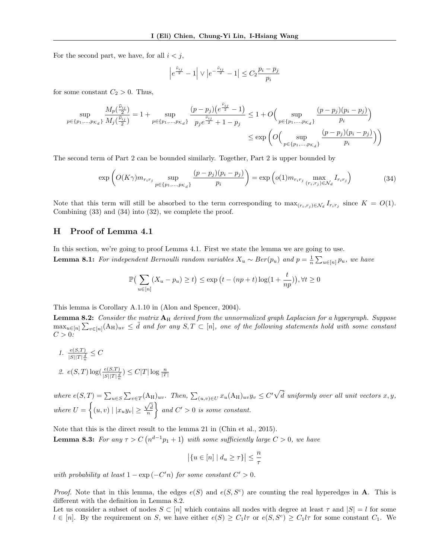For the second part, we have, for all  $i < j$ ,

$$
\left|e^{\frac{\hat{\nu}_{ij}}{2}}-1\right|\vee\left|e^{-\frac{\hat{\nu}_{ij}}{2}}-1\right|\leq C_{2}\frac{p_{i}-p_{j}}{p_{i}}
$$

for some constant  $C_2 > 0$ . Thus,

$$
\sup_{p \in \{p_1, \dots, p_{\kappa_d}\}} \frac{M_p(\frac{\hat{\nu}_{ij}}{2})}{M_j(\frac{\hat{\nu}_{ij}}{2})} = 1 + \sup_{p \in \{p_1, \dots, p_{\kappa_d}\}} \frac{(p - p_j)(e^{\frac{\hat{\nu}_{ij}}{2}} - 1)}{p_j e^{\frac{\hat{\nu}_{ij}}{2}} + 1 - p_j} \le 1 + O\left(\sup_{p \in \{p_1, \dots, p_{\kappa_d}\}} \frac{(p - p_j)(p_i - p_j)}{p_i}\right)
$$
  

$$
\le \exp\left(O\left(\sup_{p \in \{p_1, \dots, p_{\kappa_d}\}} \frac{(p - p_j)(p_i - p_j)}{p_i}\right)\right)
$$

The second term of Part 2 can be bounded similarly. Together, Part 2 is upper bounded by

<span id="page-9-0"></span>
$$
\exp\left(O(K\gamma)m_{r_ir_j}\sup_{p\in\{p_1,\ldots,p_{K_d}\}}\frac{(p-p_j)(p_i-p_j)}{p_i}\right)=\exp\left(o(1)m_{r_ir_j}\max_{(r_i,r_j)\in\mathcal{N}_d}I_{r_ir_j}\right) \tag{34}
$$

Note that this term will still be absorbed to the term corresponding to  $\max_{(r_i,r_j)\in\mathcal{N}_d} I_{r_i r_j}$  since  $K = O(1)$ . Combining [\(33\)](#page-8-2) and [\(34\)](#page-9-0) into [\(32\)](#page-8-3), we complete the proof.

### H Proof of Lemma [4.1](#page-3-2)

<span id="page-9-2"></span>In this section, we're going to proof Lemma [4.1.](#page-3-2) First we state the lemma we are going to use. **Lemma 8.1:** For independent Bernoulli random variables  $X_u \sim Ber(p_u)$  and  $p = \frac{1}{n} \sum_{u \in [n]} p_u$ , we have

$$
\mathbb{P}\left(\sum_{u\in[n]} (X_u - p_u) \ge t\right) \le \exp\left(t - (np + t)\log(1 + \frac{t}{np})\right), \forall t \ge 0
$$

This lemma is Corollary A.1.10 in (Alon and Spencer, 2004).

<span id="page-9-1"></span>**Lemma 8.2:** Consider the matrix  $A_H$  derived from the unnormalized graph Laplacian for a hypergraph. Suppose  $\max_{u\in[n]}\sum_{v\in[n]}(A_H)_{uv} \leq d$  and for any  $S,T\subset[n]$ , one of the following statements hold with some constant  $C > 0$ :

1. 
$$
\frac{e(S,T)}{|S||T|\frac{d}{n}} \leq C
$$
  
2. 
$$
e(S,T) \log(\frac{e(S,T)}{|S||T|\frac{d}{n}}) \leq C|T| \log \frac{n}{|T|}
$$

where  $e(S,T) = \sum_{u \in S} \sum_{v \in T} (A_H)_{uv}$ . Then,  $\sum_{(u,v) \in U} x_u(A_H)_{uv} y_v \leq C' \sqrt{\tilde{d}}$  uniformly over all unit vectors  $x, y$ , where  $U = \{(u, v) \mid |x_u y_v| \geq$  $\frac{\sqrt{\tilde{d}}}{n}$  $\}$  and  $C' > 0$  is some constant.

Note that this is the direct result to the lemma 21 in (Chin et al., 2015).

<span id="page-9-3"></span>**Lemma 8.3:** For any  $\tau > C$   $(n^{d-1}p_1 + 1)$  with some sufficiently large  $C > 0$ , we have

$$
\left|\{u \in [n] \mid d_u \ge \tau\}\right| \le \frac{n}{\tau}
$$

with probability at least  $1 - \exp(-C'n)$  for some constant  $C' > 0$ .

*Proof.* Note that in this lemma, the edges  $e(S)$  and  $e(S, S^c)$  are counting the real hyperedges in **A**. This is different with the definition in Lemma [8.2.](#page-9-1)

Let us consider a subset of nodes  $S \subset [n]$  which contains all nodes with degree at least  $\tau$  and  $|S| = l$  for some  $l \in [n]$ . By the requirement on S, we have either  $e(S) \geq C_1 l \tau$  or  $e(S, S^c) \geq C_1 l \tau$  for some constant  $C_1$ . We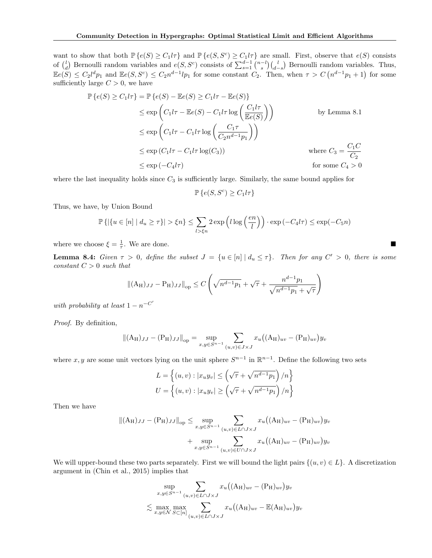want to show that both  $\mathbb{P}\{e(S) \geq C_1 l \tau\}$  and  $\mathbb{P}\{e(S, S^c) \geq C_1 l \tau\}$  are small. First, observe that  $e(S)$  consists of  $\binom{l}{d}$  Bernoulli random variables and  $e(S, S^c)$  consists of  $\sum_{s=1}^{d-1} \binom{n-l}{s} \binom{l}{d-s}$  Bernoulli random variables. Thus,  $\mathbb{E}e(S) \leq C_2 l^d p_1$  and  $\mathbb{E}e(S, S^c) \leq C_2 n^{d-1} l p_1$  for some constant  $C_2$ . Then, when  $\tau > C(n^{d-1}p_1 + 1)$  for some sufficiently large  $C > 0$ , we have

$$
\mathbb{P}\left\{e(S) \ge C_1 l\tau\right\} = \mathbb{P}\left\{e(S) - \mathbb{E}e(S) \ge C_1 l\tau - \mathbb{E}e(S)\right\}
$$
  
\n
$$
\le \exp\left(C_1 l\tau - \mathbb{E}e(S) - C_1 l\tau \log\left(\frac{C_1 l\tau}{\mathbb{E}e(S)}\right)\right)
$$
 by Lemma 8.1  
\n
$$
\le \exp\left(C_1 l\tau - C_1 l\tau \log\left(\frac{C_1 \tau}{C_2 n^{d-1} p_1}\right)\right)
$$
 by Lemma 8.1  
\n
$$
\le \exp\left(C_1 l\tau - C_1 l\tau \log(C_3)\right)
$$
 where  $C_3 = \frac{C_1 C}{C_2}$   
\n
$$
\le \exp\left(-C_4 l\tau\right)
$$
 for some  $C_4 > 0$ 

where the last inequality holds since  $C_3$  is sufficiently large. Similarly, the same bound applies for

$$
\mathbb{P}\left\{e(S, S^c) \ge C_1 l \tau\right\}
$$

Thus, we have, by Union Bound

$$
\mathbb{P}\left\{|\{u \in [n] \mid d_u \geq \tau\}| > \xi n\right\} \leq \sum_{l > \xi n} 2\exp\left(l\log\left(\frac{en}{l}\right)\right) \cdot \exp\left(-C_4 l\tau\right) \leq \exp(-C_5 n)
$$

where we choose  $\xi = \frac{1}{\tau}$ . We are done.

<span id="page-10-0"></span>**Lemma 8.4:** Given  $\tau > 0$ , define the subset  $J = \{u \in [n] | d_u \leq \tau\}$ . Then for any  $C' > 0$ , there is some constant  $C > 0$  such that

$$
\| (A_H)_{JJ} - P_H)_{JJ} \|_{op} \le C \left( \sqrt{n^{d-1} p_1} + \sqrt{\tau} + \frac{n^{d-1} p_1}{\sqrt{n^{d-1} p_1} + \sqrt{\tau}} \right)
$$

with probability at least  $1 - n^{-C'}$ 

Proof. By definition,

$$
||(A_H)_{JJ} - (P_H)_{JJ}||_{op} = \sup_{x,y \in S^{n-1}} \sum_{(u,v) \in J \times J} x_u ((A_H)_{uv} - (P_H)_{uv}) y_v
$$

where x, y are some unit vectors lying on the unit sphere  $S^{n-1}$  in  $\mathbb{R}^{n-1}$ . Define the following two sets

$$
L = \left\{ (u, v) : |x_u y_v| \le \left( \sqrt{\tau} + \sqrt{n^{d-1} p_1} \right) / n \right\}
$$
  

$$
U = \left\{ (u, v) : |x_u y_v| \ge \left( \sqrt{\tau} + \sqrt{n^{d-1} p_1} \right) / n \right\}
$$

Then we have

$$
||(A_H)_{JJ} - (P_H)_{JJ}||_{op} \le \sup_{x,y \in S^{n-1}} \sum_{(u,v) \in L \cap J \times J} x_u ((A_H)_{uv} - (P_H)_{uv}) y_v
$$
  
+ 
$$
\sup_{x,y \in S^{n-1}} \sum_{(u,v) \in U \cap J \times J} x_u ((A_H)_{uv} - (P_H)_{uv}) y_v
$$

We will upper-bound these two parts separately. First we will bound the light pairs  $\{(u, v) \in L\}$ . A discretization argument in (Chin et al., 2015) implies that

$$
\sup_{x,y \in S^{n-1}} \sum_{(u,v) \in L \cap J \times J} x_u((A_H)_{uv} - (P_H)_{uv}) y_v
$$
  

$$
\lesssim \max_{x,y \in \mathcal{N}} \max_{S \subset [n]} \sum_{(u,v) \in L \cap J \times J} x_u((A_H)_{uv} - \mathbb{E}(A_H)_{uv}) y_v
$$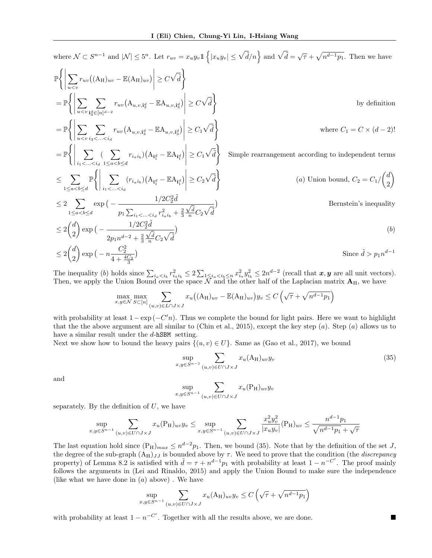where  $\mathcal{N} \subset S^{n-1}$  and  $|\mathcal{N}| \leq 5^n$ . Let  $r_{uv} = x_u y_v \mathbb{1} \left\{ |x_u y_v| \leq \sqrt{\tilde{d}}/n \right\}$  and  $\sqrt{\tilde{d}} = \sqrt{\tau} + \sqrt{n^{d-1} p_1}$ . Then we have  $\mathbb{P}\Biggl\{\Biggl\vert$  $\sum$  $u$  $\lt v$  $r_{uv}((A_H)_{uv} - \mathbb{E}(A_H)_{uv})$  $\begin{array}{c} \hline \rule{0pt}{2.2ex} \\ \rule{0pt}{2.2ex} \end{array}$  $\geq C\sqrt{\tilde{d}}\bigg\}$  $=$   $\mathbb{P}$  $\left\{\left\|\right. \right.$  $\sum$  $u$  $\lt v$  $\sum$  $\mathbf{i}_3^d \in [n]^{d-2}$  $r_{uv} (\mathbf{A}_{u,v,\mathbf{i}_3^d} - \mathbb{E} \mathbf{A}_{u,v,\mathbf{i}_3^d})$  $\begin{array}{c} \hline \end{array}$  $\geq C\sqrt{\tilde{d}}\bigg\}$ by definition  $=$   $\mathbb{P}$  $\left\{ \left\vert \rule{0cm}{1.15cm}\right. \right.$  $\sum$  $u$  $\lt v$  $\sum$  $i_3<...$  $r_{uv} (\mathbf{A}_{u,v,\mathbf{i}_3^d} - \mathbb{E} \mathbf{A}_{u,v,\mathbf{i}_3^d})$   $\geq C_1\sqrt{\tilde{d}}\bigg\}$ where  $C_1 = C \times (d-2)!$  $=$   $\mathbb{P}$  $\left\{ \left\vert \rule{0cm}{1.15cm}\right. \right.$  $\sum$  $i_1$ <...< $i_d$  $(\sum)$  $1 \leq a < b \leq d$  $r_{i_a i_b}$  )  $(A_{\mathbf{i}_1^d} - \mathbb{E} A_{\mathbf{i}_1^d})$  $\begin{array}{c} \begin{array}{c} \begin{array}{c} \begin{array}{c} \end{array}\\ \end{array} \end{array} \end{array}$  $\geq C_1\sqrt{\tilde{d}}\bigg\}$ Simple rearrangement according to independent terms ≤ X  $1 \leq a < b \leq d$  $\mathbb{P}\Biggl\{\Biggl\vert$  $\sum$  $i_1$  < ... <  $i_d$  $(r_{i_a i_b})\left(\mathbf{A_{i^d_1}}-\mathbb{E}\mathbf{A_{i^d_1}}\right)$  $\begin{array}{c} \hline \end{array}$  $\geq C_2\sqrt{\tilde{d}}\bigg\}$ (a) Union bound,  $C_2 = C_1 / \binom{d}{2}$ 2  $\setminus$  $\leq 2$  $1 \leq a < b \leq d$  $\exp(-\frac{1/2C_2^2\tilde{d}}{a})$  $p_1 \sum_{i_1 < ... < i_d} r_{i_a i_b}^2 + \frac{2}{3}$  $\frac{\sqrt{\tilde{d}}}{n}C_2\sqrt{\tilde{d}}$  $\mathcal{L}$ Bernstein's inequality  $\leq 2\binom{d}{2}$ 2  $\log\left(-\frac{1/2C_2^2\tilde{d}}{\tilde{d}}\right)$  $2p_1n^{d-2} + \frac{2}{3}$  $\frac{\sqrt{\tilde{d}}}{n}C_2\sqrt{\tilde{d}}$  $\big)$ (b)  $\leq 2\binom{d}{2}$ 2  $\exp\big(-n\frac{C_2^2}{4+\frac{4C_2}{3}}\big)$ 3 Since  $\tilde{d} > p_1 n^{d-1}$ 

The inequality (b) holds since  $\sum_{i_a \leq i_b} r_{i_a i_b}^2 \leq 2 \sum_{1 \leq i_a \leq i_b \leq n} x_{i_a}^2 y_{i_b}^2 \leq 2n^{d-2}$  (recall that  $x, y$  are all unit vectors). Then, we apply the Union Bound over the space  $\bar{N}$  and the other half of the Laplacian matrix  $A_H$ , we have

$$
\max_{x,y \in \mathcal{N}} \max_{S \subset [n]} \sum_{(u,v) \in L \cap J \times J} x_u \big( (\mathbf{A}_{\mathbf{H}})_{uv} - \mathbb{E}(\mathbf{A}_{\mathbf{H}})_{uv} \big) y_v \le C \left( \sqrt{\tau} + \sqrt{n^{d-1} p_1} \right)
$$

with probability at least  $1 - \exp(-C'n)$ . Thus we complete the bound for light pairs. Here we want to highlight that the the above argument are all similar to (Chin et al., 2015), except the key step  $(a)$ . Step  $(a)$  allows us to have a similar result under the d-hSBM setting.

Next we show how to bound the heavy pairs  $\{(u, v) \in U\}$ . Same as (Gao et al., 2017), we bound

<span id="page-11-0"></span>
$$
\sup_{x,y \in S^{n-1}} \sum_{(u,v) \in U \cap J \times J} x_u(A_H)_{uv} y_v \tag{35}
$$

and

$$
\sup_{x,y \in S^{n-1}} \sum_{(u,v) \in U \cap J \times J} x_u(\mathbf{P}_{\mathbf{H}})_{uv} y_v
$$

separately. By the definition of  $U$ , we have

$$
\sup_{x,y \in S^{n-1}} \sum_{(u,v) \in U \cap J \times J} x_u(P_H)_{uv} y_v \le \sup_{x,y \in S^{n-1}} \sum_{(u,v) \in U \cap J \times J} \frac{x_u^2 y_v^2}{|x_u y_v|} (P_H)_{uv} \le \frac{n^{d-1} p_1}{\sqrt{n^{d-1} p_1} + \sqrt{\tau}}
$$

The last equation hold since  $(P_H)_{max} \leq n^{d-2}p_1$ . Then, we bound [\(35\)](#page-11-0). Note that by the definition of the set J, the degree of the sub-graph  $(A_H)_{JJ}$  is bounded above by  $\tau$ . We need to prove that the condition (the *discrepancy* property) of Lemma [8.2](#page-9-1) is satisfied with  $\tilde{d} = \tau + n^{d-1}p_1$  with probability at least  $1 - n^{-C'}$ . The proof mainly follows the arguments in (Lei and Rinaldo, 2015) and apply the Union Bound to make sure the independence (like what we have done in  $(a)$  above). We have

$$
\sup_{x,y \in S^{n-1}} \sum_{(u,v) \in U \cap J \times J} x_u(A_H)_{uv} y_v \le C \left( \sqrt{\tau} + \sqrt{n^{d-1} p_1} \right)
$$

with probability at least  $1 - n^{-C'}$ . Together with all the results above, we are done.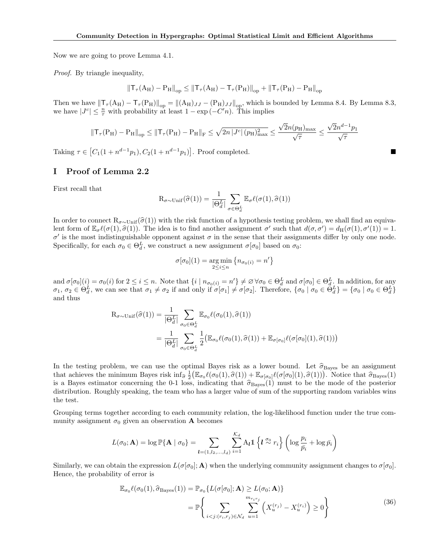Now we are going to prove Lemma [4.1.](#page-3-2)

Proof. By triangle inequality,

$$
\left\|{\sf T}_{\tau}({\rm A}_{\rm H})-{\rm P}_{\rm H}\right\|_{\rm op}\leq\left\|{\sf T}_{\tau}({\rm A}_{\rm H})-{\sf T}_{\tau}({\rm P}_{\rm H})\right\|_{\rm op}+\left\|{\sf T}_{\tau}({\rm P}_{\rm H})-{\rm P}_{\rm H}\right\|_{\rm op}
$$

Then we have  $\left\|T_\tau (A_H) - T_\tau (P_H)\right\|_{op} = \left\|(A_H)_{JJ} - (P_H)_{JJ}\right\|_{op}$ , which is bounded by Lemma [8.4.](#page-10-0) By Lemma [8.3,](#page-9-3) we have  $|J^c| \leq \frac{n}{\tau}$  with probability at least  $1 - \exp(-C'n)$ . This implies

$$
\left\|\mathsf{T}_{\tau}(P_H) - P_H\right\|_{\mathrm{op}} \leq \left\|\mathsf{T}_{\tau}(P_H) - P_H\right\|_{\mathrm{F}} \leq \sqrt{2n \left|\mathsf{J}^c\right|\left(p_H\right)^2_{\mathrm{max}}} \leq \frac{\sqrt{2}n(p_H)_{\mathrm{max}}}{\sqrt{\tau}} \leq \frac{\sqrt{2}n^{d-1}p_1}{\sqrt{\tau}}
$$

Taking  $\tau \in [C_1(1 + n^{d-1}p_1), C_2(1 + n^{d-1}p_1)].$  Proof completed.

#### I Proof of Lemma [2.2](#page-1-0)

First recall that

$$
\mathrm{R}_{\sigma \sim \mathrm{Unif}}(\widehat{\sigma}(1)) = \frac{1}{|\Theta_d^L|} \sum_{\sigma \in \Theta_d^L} \mathbb{E}_{\sigma} \ell(\sigma(1), \widehat{\sigma}(1))
$$

In order to connect  $R_{\sigma \sim Unif}(\hat{\sigma}(1))$  with the risk function of a hypothesis testing problem, we shall find an equivalent form of  $\mathbb{E}_{\sigma} \ell(\sigma(1), \hat{\sigma}(1))$ . The idea is to find another assignment  $\sigma'$  such that  $d(\sigma, \sigma') = d_H(\sigma(1), \sigma'(1)) = 1$ .  $σ'$  is the most indistinguishable opponent against  $σ$  in the sense that their assignments differ by only one node. Specifically, for each  $\sigma_0 \in \Theta_d^L$ , we construct a new assignment  $\sigma[\sigma_0]$  based on  $\sigma_0$ :

$$
\sigma[\sigma_0](1) = \underset{2 \leq i \leq n}{\arg \min} \{ n_{\sigma_0(i)} = n' \}
$$

and  $\sigma[\sigma_0](i) = \sigma_0(i)$  for  $2 \le i \le n$ . Note that  $\{i \mid n_{\sigma_0(i)} = n'\} \neq \emptyset \,\forall \sigma_0 \in \Theta_d^L$  and  $\sigma[\sigma_0] \in \Theta_d^L$ . In addition, for any  $\sigma_1, \sigma_2 \in \Theta_d^L$ , we can see that  $\sigma_1 \neq \sigma_2$  if and only if  $\sigma[\sigma_1] \neq \sigma[\sigma_2]$ . Therefore,  $\{\sigma_0 \mid \sigma_0 \in \Theta_d^L\} = \{\sigma_0 \mid \sigma_0 \in \Theta_d^L\}$ and thus

$$
R_{\sigma \sim \text{Unif}}(\hat{\sigma}(1)) = \frac{1}{|\Theta_d^L|} \sum_{\sigma_0 \in \Theta_d^L} \mathbb{E}_{\sigma_0} \ell(\sigma_0(1), \hat{\sigma}(1))
$$
  
= 
$$
\frac{1}{|\Theta_d^L|} \sum_{\sigma_0 \in \Theta_d^L} \frac{1}{2} (\mathbb{E}_{\sigma_0} \ell(\sigma_0(1), \hat{\sigma}(1)) + \mathbb{E}_{\sigma[\sigma_0]} \ell(\sigma[\sigma_0](1), \hat{\sigma}(1)))
$$

In the testing problem, we can use the optimal Bayes risk as a lower bound. Let  $\hat{\sigma}_{\text{Bayes}}$  be an assignment that achieves the minimum Bayes risk  $\inf_{\hat{\sigma}} \frac{1}{2} (\mathbb{E}_{\sigma_0} \ell(\sigma_0(1), \hat{\sigma}(1)) + \mathbb{E}_{\sigma[\sigma_0]} \ell(\sigma[\sigma_0](1), \hat{\sigma}(1))).$  Notice that  $\hat{\sigma}_{\text{Bayes}}(1)$ is a Bayes estimator concerning the 0-1 loss, indicating that  $\hat{\sigma}_{\text{Bayes}}(1)$  must to be the mode of the posterior distribution. Roughly speaking, the team who has a larger value of sum of the supporting random variables wins the test.

Grouping terms together according to each community relation, the log-likelihood function under the true community assignment  $\sigma_0$  given an observation **A** becomes

$$
L(\sigma_0; \mathbf{A}) = \log \mathbb{P}\{\mathbf{A} \mid \sigma_0\} = \sum_{\mathbf{l} = (1, l_2, \dots, l_d)} \sum_{i=1}^{\mathcal{K}_d} A_{\mathbf{l}} \mathbb{1} \left\{ \mathbf{l} \stackrel{\sigma_0}{\sim} r_i \right\} \left( \log \frac{p_i}{\bar{p_i}} + \log \bar{p_i} \right)
$$

Similarly, we can obtain the expression  $L(\sigma[\sigma_0]; \mathbf{A})$  when the underlying community assignment changes to  $\sigma[\sigma_0]$ . Hence, the probability of error is

<span id="page-12-0"></span>
$$
\mathbb{E}_{\sigma_0} \ell(\sigma_0(1), \widehat{\sigma}_{\text{Bayes}}(1)) = \mathbb{P}_{\sigma_0} \{ L(\sigma[\sigma_0]; \mathbf{A}) \ge L(\sigma_0; \mathbf{A}) \}
$$
\n
$$
= \mathbb{P} \left\{ \sum_{i < j: (r_i, r_j) \in \mathcal{N}_d} \sum_{u=1}^{m_{r_i r_j}} \left( X_u^{(r_j)} - X_u^{(r_i)} \right) \ge 0 \right\} \tag{36}
$$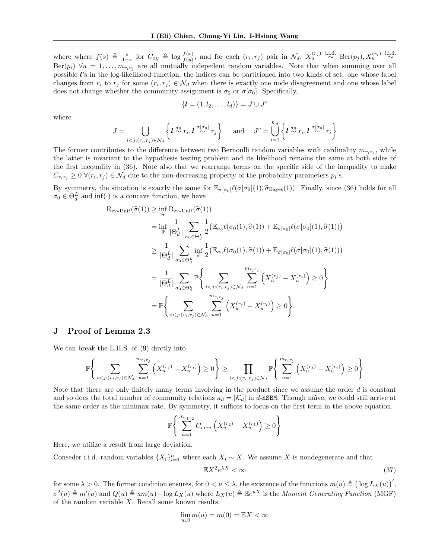where where  $f(s) \triangleq \frac{s}{1-s}$  for  $C_{xy} \triangleq \log \frac{f(x)}{f(y)}$ , and for each  $(r_i, r_j)$  pair in  $\mathcal{N}_d$ ,  $X_u^{(r_j)} \stackrel{\text{i.i.d.}}{\sim} \text{Ber}(p_j)$ ,  $X_u^{(r_i)} \stackrel{\text{i.i.d.}}{\sim}$  $\text{Ber}(p_i) \ \forall u = 1, \ldots, m_{r_i r_j}$  are all mutually indepedent random variables. Note that when summing over all possible l's in the log-likelihood function, the indices can be partitioned into two kinds of set: one whose label changes from  $r_i$  to  $r_j$  for some  $(r_i, r_j) \in \mathcal{N}_d$  when there is exactly one node disagreement and one whose label does not change whether the community assignment is  $\sigma_0$  or  $\sigma[\sigma_0]$ . Specifically,

$$
\{\boldsymbol{l}=(1,l_2,\ldots,l_d)\}=J\cup J^c
$$

where

$$
J = \bigcup_{i < j: (r_i, r_j) \in \mathcal{N}_d} \left\{ l \stackrel{\sigma_0}{\sim} r_i, l \stackrel{\sigma[\sigma_0]}{\sim} r_j \right\} \quad \text{and} \quad J^c = \bigcup_{i=1}^{\mathcal{K}_d} \left\{ l \stackrel{\sigma_0}{\sim} r_i, l \stackrel{\sigma[\sigma_0]}{\sim} r_i \right\}
$$

The former contributes to the difference between two Bernoulli random variables with cardinality  $m_{r_i r_j}$ , while the latter is invariant to the hypothesis testing problem and its likelihood remains the same at both sides of the first inequality in [\(36\)](#page-12-0). Note also that we rearrange terms on the specific side of the inequality to make  $C_{r_i r_j} \geq 0 \ \forall (r_i, r_j) \in \mathcal{N}_d$  due to the non-decreasing property of the probability parameters  $p_i$ 's.

By symmetry, the situation is exactly the same for  $\mathbb{E}_{\sigma[\sigma_0]}\ell(\sigma[\sigma_0](1), \hat{\sigma}_{\text{Bayes}}(1))$ . Finally, since [\(36\)](#page-12-0) holds for all  $\sigma_0 \in \Theta_d^L$  and  $\inf(\cdot)$  is a concave function, we have

$$
R_{\sigma \sim \text{Unif}}(\hat{\sigma}(1)) \geq \inf_{\hat{\sigma}} R_{\sigma \sim \text{Unif}}(\hat{\sigma}(1))
$$
\n
$$
= \inf_{\hat{\sigma}} \frac{1}{|\Theta_d^L|} \sum_{\sigma_0 \in \Theta_d^L} \frac{1}{2} (\mathbb{E}_{\sigma_0} \ell(\sigma_0(1), \hat{\sigma}(1)) + \mathbb{E}_{\sigma[\sigma_0]} \ell(\sigma[\sigma_0](1), \hat{\sigma}(1)))
$$
\n
$$
\geq \frac{1}{|\Theta_d^L|} \sum_{\sigma_0 \in \Theta_d^L} \inf_{\hat{\sigma}} \frac{1}{2} (\mathbb{E}_{\sigma_0} \ell(\sigma_0(1), \hat{\sigma}(1)) + \mathbb{E}_{\sigma[\sigma_0]} \ell(\sigma[\sigma_0](1), \hat{\sigma}(1)))
$$
\n
$$
= \frac{1}{|\Theta_d^L|} \sum_{\sigma_0 \in \Theta_d^L} \mathbb{P} \left\{ \sum_{i < j: (r_i, r_j) \in \mathcal{N}_d} \sum_{u=1}^{m_{r_i r_j}} \left( X_u^{(r_j)} - X_u^{(r_i)} \right) \geq 0 \right\}
$$
\n
$$
= \mathbb{P} \left\{ \sum_{i < j: (r_i, r_j) \in \mathcal{N}_d} \sum_{u=1}^{m_{r_i r_j}} \left( X_u^{(r_j)} - X_u^{(r_i)} \right) \geq 0 \right\}
$$

#### J Proof of Lemma [2.3](#page-1-1)

We can break the L.H.S. of [\(9\)](#page-1-2) dirctly into

$$
\mathbb{P}\Bigg\{\sum_{i < j: (r_i, r_j) \in \mathcal{N}_d} \sum_{u=1}^{m_{r_i r_j}} \left(X_u^{(r_j)} - X_u^{(r_i)}\right) \ge 0\Bigg\} \ge \prod_{i < j: (r_i, r_j) \in \mathcal{N}_d} \mathbb{P}\Bigg\{\sum_{u=1}^{m_{r_i r_j}} \left(X_u^{(r_j)} - X_u^{(r_i)}\right) \ge 0\Bigg\}
$$

Note that there are only finitely many terms involving in the product since we assume the order d is constant and so does the total number of community relations  $\kappa_d = |\mathcal{K}_d|$  in d-hSBM. Though naïve, we could still arrive at the same order as the minimax rate. By symmetry, it suffices to focus on the first term in the above equation.

$$
\mathbb{P}\Bigg\{\sum_{u=1}^{m_{r_1r_2}} C_{r_1r_2} \left(X_u^{(r_2)} - X_u^{(r_1)}\right) \ge 0\Bigg\}
$$

Here, we utilize a result from large deviation.

Conseder i.i.d. random variables  $\{X_i\}_{i=1}^n$  where each  $X_i \sim X$ . We assume X is nondegenerate and that

<span id="page-13-0"></span>
$$
\mathbb{E}X^2 e^{\lambda X} < \infty \tag{37}
$$

for some  $\lambda > 0$ . The former condition ensures, for  $0 < u \leq \lambda$ , the existence of the functions  $m(u) \triangleq (\log L_X(u))'$ ,  $\sigma^2(u) \triangleq m'(u)$  and  $Q(u) \triangleq um(u) - \log L_X(u)$  where  $L_X(u) \triangleq \mathbb{E}e^{uX}$  is the Moment Generating Function (MGF) of the random variable  $X$ . Recall some known results:

$$
\lim_{u \downarrow 0} m(u) = m(0) = \mathbb{E} X < \infty
$$